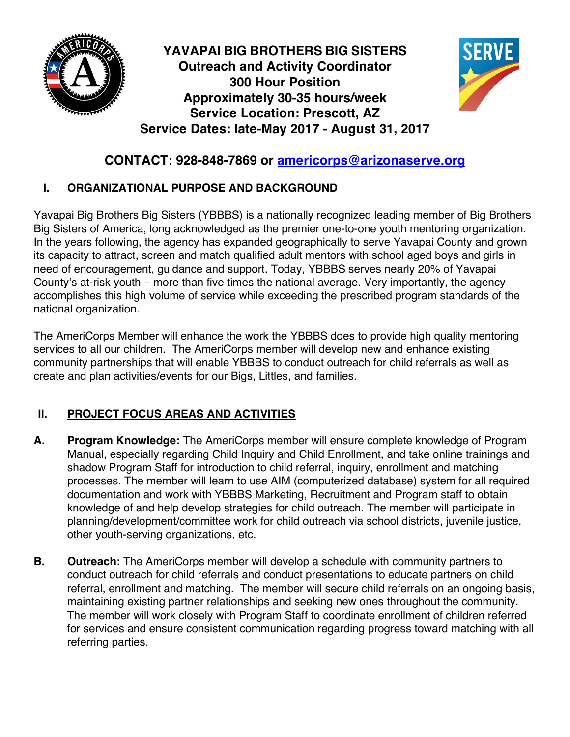

**YAVAPAI BIG BROTHERS BIG SISTERS Outreach and Activity Coordinator 300 Hour Position Approximately 30-35 hours/week Service Location: Prescott, AZ Service Dates: late-May 2017 - August 31, 2017**



# **CONTACT: 928-848-7869 or americorps@arizonaserve.org**

# **I. ORGANIZATIONAL PURPOSE AND BACKGROUND**

Yavapai Big Brothers Big Sisters (YBBBS) is a nationally recognized leading member of Big Brothers Big Sisters of America, long acknowledged as the premier one-to-one youth mentoring organization. In the years following, the agency has expanded geographically to serve Yavapai County and grown its capacity to attract, screen and match qualified adult mentors with school aged boys and girls in need of encouragement, guidance and support. Today, YBBBS serves nearly 20% of Yavapai County's at-risk youth – more than five times the national average. Very importantly, the agency accomplishes this high volume of service while exceeding the prescribed program standards of the national organization.

The AmeriCorps Member will enhance the work the YBBBS does to provide high quality mentoring services to all our children. The AmeriCorps member will develop new and enhance existing community partnerships that will enable YBBBS to conduct outreach for child referrals as well as create and plan activities/events for our Bigs, Littles, and families.

# **II. PROJECT FOCUS AREAS AND ACTIVITIES**

- **A. Program Knowledge:** The AmeriCorps member will ensure complete knowledge of Program Manual, especially regarding Child Inquiry and Child Enrollment, and take online trainings and shadow Program Staff for introduction to child referral, inquiry, enrollment and matching processes. The member will learn to use AIM (computerized database) system for all required documentation and work with YBBBS Marketing, Recruitment and Program staff to obtain knowledge of and help develop strategies for child outreach. The member will participate in planning/development/committee work for child outreach via school districts, juvenile justice, other youth-serving organizations, etc.
- **B. Outreach:** The AmeriCorps member will develop a schedule with community partners to conduct outreach for child referrals and conduct presentations to educate partners on child referral, enrollment and matching. The member will secure child referrals on an ongoing basis, maintaining existing partner relationships and seeking new ones throughout the community. The member will work closely with Program Staff to coordinate enrollment of children referred for services and ensure consistent communication regarding progress toward matching with all referring parties.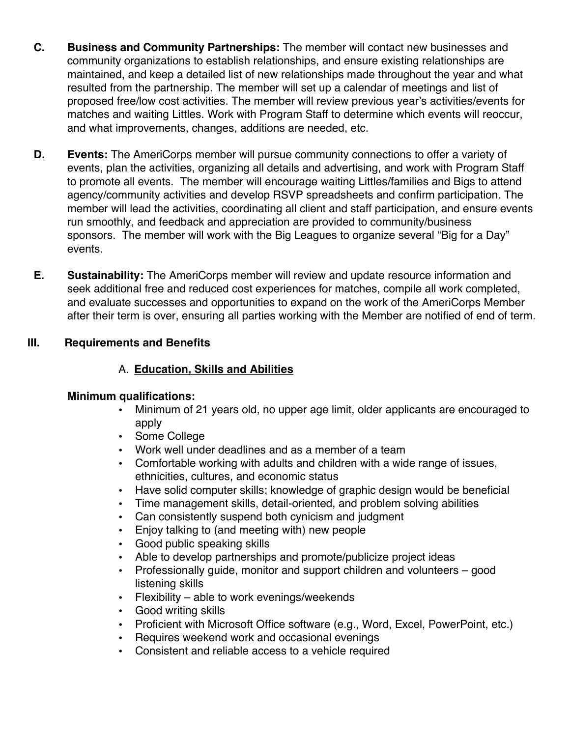- **C. Business and Community Partnerships:** The member will contact new businesses and community organizations to establish relationships, and ensure existing relationships are maintained, and keep a detailed list of new relationships made throughout the year and what resulted from the partnership. The member will set up a calendar of meetings and list of proposed free/low cost activities. The member will review previous year's activities/events for matches and waiting Littles. Work with Program Staff to determine which events will reoccur, and what improvements, changes, additions are needed, etc.
- **D. Events:** The AmeriCorps member will pursue community connections to offer a variety of events, plan the activities, organizing all details and advertising, and work with Program Staff to promote all events. The member will encourage waiting Littles/families and Bigs to attend agency/community activities and develop RSVP spreadsheets and confirm participation. The member will lead the activities, coordinating all client and staff participation, and ensure events run smoothly, and feedback and appreciation are provided to community/business sponsors. The member will work with the Big Leagues to organize several "Big for a Day" events.
- **E. Sustainability:** The AmeriCorps member will review and update resource information and seek additional free and reduced cost experiences for matches, compile all work completed, and evaluate successes and opportunities to expand on the work of the AmeriCorps Member after their term is over, ensuring all parties working with the Member are notified of end of term.

## **III. Requirements and Benefits**

# A. **Education, Skills and Abilities**

## **Minimum qualifications:**

- Minimum of 21 years old, no upper age limit, older applicants are encouraged to apply
- Some College
- Work well under deadlines and as a member of a team
- Comfortable working with adults and children with a wide range of issues, ethnicities, cultures, and economic status
- Have solid computer skills; knowledge of graphic design would be beneficial
- Time management skills, detail-oriented, and problem solving abilities
- Can consistently suspend both cynicism and judgment
- Enjoy talking to (and meeting with) new people
- Good public speaking skills
- Able to develop partnerships and promote/publicize project ideas
- Professionally guide, monitor and support children and volunteers good listening skills
- Flexibility able to work evenings/weekends
- Good writing skills
- Proficient with Microsoft Office software (e.g., Word, Excel, PowerPoint, etc.)
- Requires weekend work and occasional evenings
- Consistent and reliable access to a vehicle required